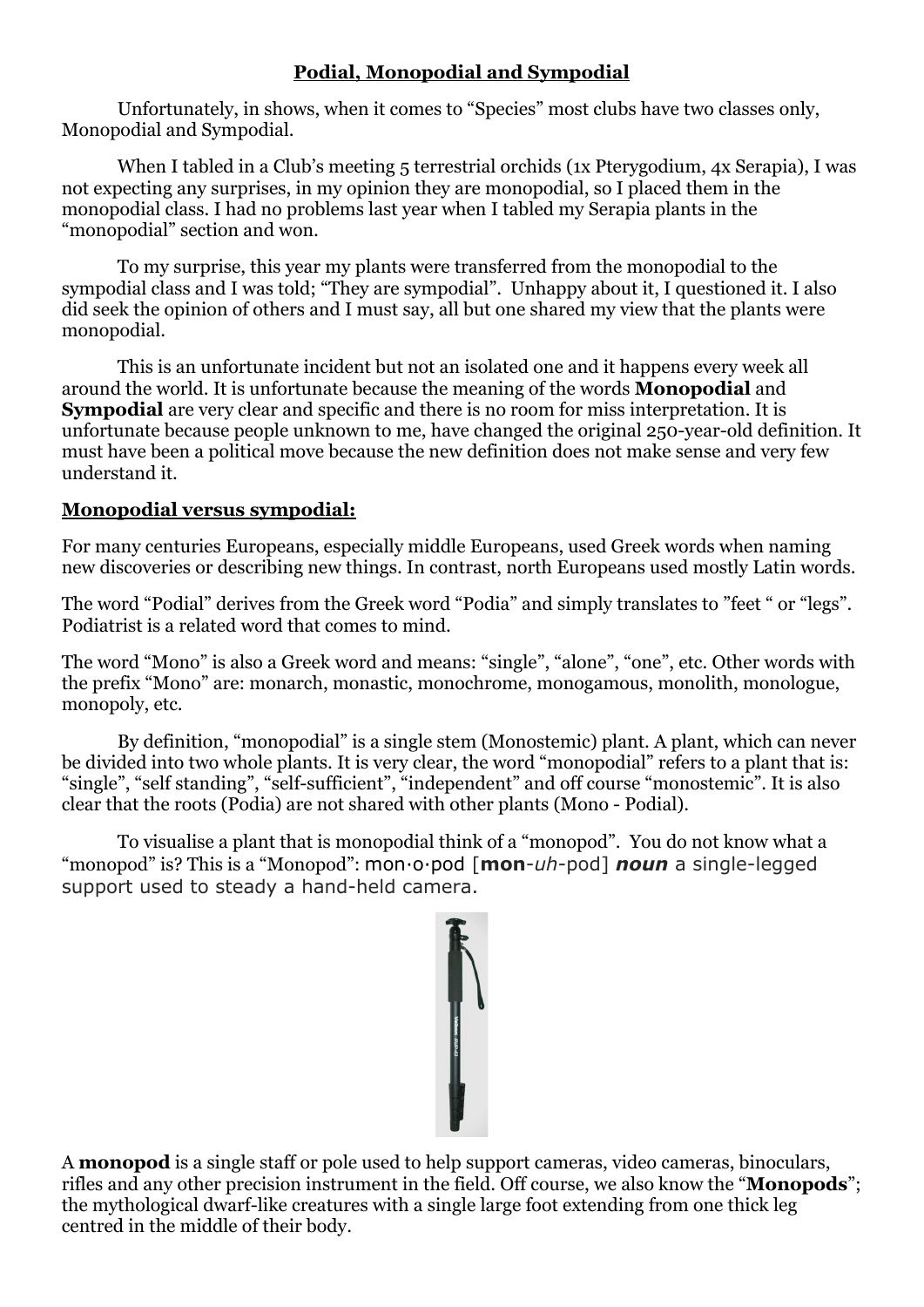# **Podial, Monopodial and Sympodial**

Unfortunately, in shows, when it comes to "Species" most clubs have two classes only, Monopodial and Sympodial.

When I tabled in a Club's meeting 5 terrestrial orchids (1x Pterygodium, 4x Serapia), I was not expecting any surprises, in my opinion they are monopodial, so I placed them in the monopodial class. I had no problems last year when I tabled my Serapia plants in the "monopodial" section and won.

To my surprise, this year my plants were transferred from the monopodial to the sympodial class and I was told; "They are sympodial". Unhappy about it, I questioned it. I also did seek the opinion of others and I must say, all but one shared my view that the plants were monopodial.

This is an unfortunate incident but not an isolated one and it happens every week all around the world. It is unfortunate because the meaning of the words **Monopodial** and **Sympodial** are very clear and specific and there is no room for miss interpretation. It is unfortunate because people unknown to me, have changed the original 250-year-old definition. It must have been a political move because the new definition does not make sense and very few understand it.

### **Monopodial versus sympodial:**

For many centuries Europeans, especially middle Europeans, used Greek words when naming new discoveries or describing new things. In contrast, north Europeans used mostly Latin words.

The word "Podial" derives from the Greek word "Podia" and simply translates to "feet " or "legs". Podiatrist is a related word that comes to mind.

The word "Mono" is also a Greek word and means: "single", "alone", "one", etc. Other words with the prefix "Mono" are: monarch, monastic, monochrome, monogamous, monolith, monologue, monopoly, etc.

By definition, "monopodial" is a single stem (Monostemic) plant. A plant, which can never be divided into two whole plants. It is very clear, the word "monopodial" refers to a plant that is: "single", "self standing", "self-sufficient", "independent" and off course "monostemic". It is also clear that the roots (Podia) are not shared with other plants (Mono - Podial).

To visualise a plant that is monopodial think of a "monopod". You do not know what a "monopod" is? This is a "Monopod": mon·o·pod [**mon**-*uh*-pod] *noun* a single-legged support used to steady a hand-held camera.



A **monopod** is a single staff or pole used to help support cameras, video cameras, binoculars, rifles and any other precision instrument in the field. Off course, we also know the "**Monopods**"; the mythological dwarf-like creatures with a single large foot extending from one thick leg centred in the middle of their body.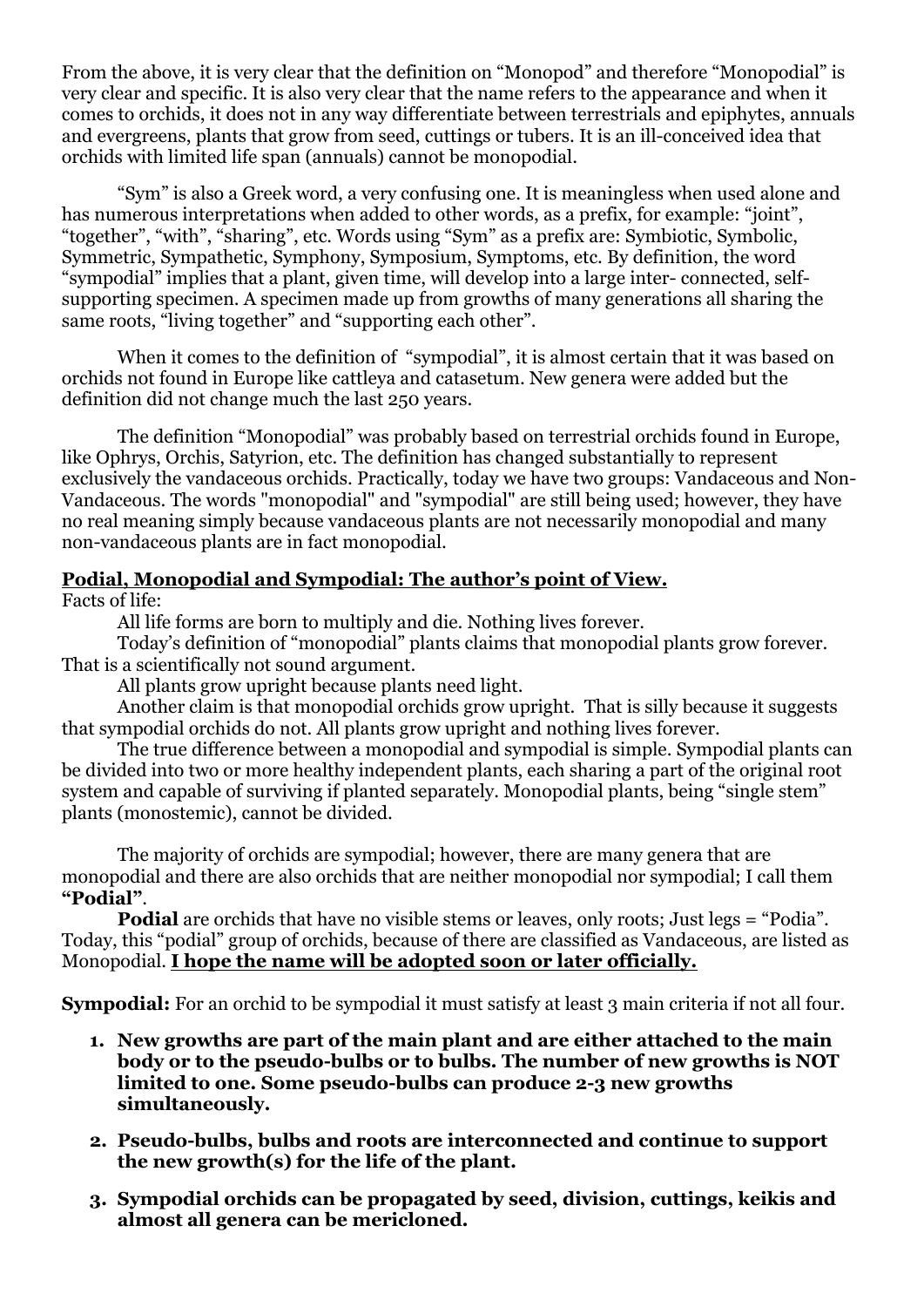From the above, it is very clear that the definition on "Monopod" and therefore "Monopodial" is very clear and specific. It is also very clear that the name refers to the appearance and when it comes to orchids, it does not in any way differentiate between terrestrials and epiphytes, annuals and evergreens, plants that grow from seed, cuttings or tubers. It is an ill-conceived idea that orchids with limited life span (annuals) cannot be monopodial.

"Sym" is also a Greek word, a very confusing one. It is meaningless when used alone and has numerous interpretations when added to other words, as a prefix, for example: "joint", "together", "with", "sharing", etc. Words using "Sym" as a prefix are: Symbiotic, Symbolic, Symmetric, Sympathetic, Symphony, Symposium, Symptoms, etc. By definition, the word "sympodial" implies that a plant, given time, will develop into a large inter- connected, selfsupporting specimen. A specimen made up from growths of many generations all sharing the same roots, "living together" and "supporting each other".

When it comes to the definition of "sympodial", it is almost certain that it was based on orchids not found in Europe like cattleya and catasetum. New genera were added but the definition did not change much the last 250 years.

The definition "Monopodial" was probably based on terrestrial orchids found in Europe, like Ophrys, Orchis, Satyrion, etc. The definition has changed substantially to represent exclusively the vandaceous orchids. Practically, today we have two groups: Vandaceous and Non-Vandaceous. The words "monopodial" and "sympodial" are still being used; however, they have no real meaning simply because vandaceous plants are not necessarily monopodial and many non-vandaceous plants are in fact monopodial.

#### **Podial, Monopodial and Sympodial: The author's point of View.**

Facts of life:

All life forms are born to multiply and die. Nothing lives forever.

Today's definition of "monopodial" plants claims that monopodial plants grow forever. That is a scientifically not sound argument.

All plants grow upright because plants need light.

Another claim is that monopodial orchids grow upright. That is silly because it suggests that sympodial orchids do not. All plants grow upright and nothing lives forever.

The true difference between a monopodial and sympodial is simple. Sympodial plants can be divided into two or more healthy independent plants, each sharing a part of the original root system and capable of surviving if planted separately. Monopodial plants, being "single stem" plants (monostemic), cannot be divided.

The majority of orchids are sympodial; however, there are many genera that are monopodial and there are also orchids that are neither monopodial nor sympodial; I call them **"Podial"**.

**Podial** are orchids that have no visible stems or leaves, only roots; Just legs = "Podia". Today, this "podial" group of orchids, because of there are classified as Vandaceous, are listed as Monopodial. **I hope the name will be adopted soon or later officially.**

**Sympodial:** For an orchid to be sympodial it must satisfy at least 3 main criteria if not all four.

- **1. New growths are part of the main plant and are either attached to the main body or to the pseudo-bulbs or to bulbs. The number of new growths is NOT limited to one. Some pseudo-bulbs can produce 2-3 new growths simultaneously.**
- **2. Pseudo-bulbs, bulbs and roots are interconnected and continue to support the new growth(s) for the life of the plant.**
- **3. Sympodial orchids can be propagated by seed, division, cuttings, keikis and almost all genera can be mericloned.**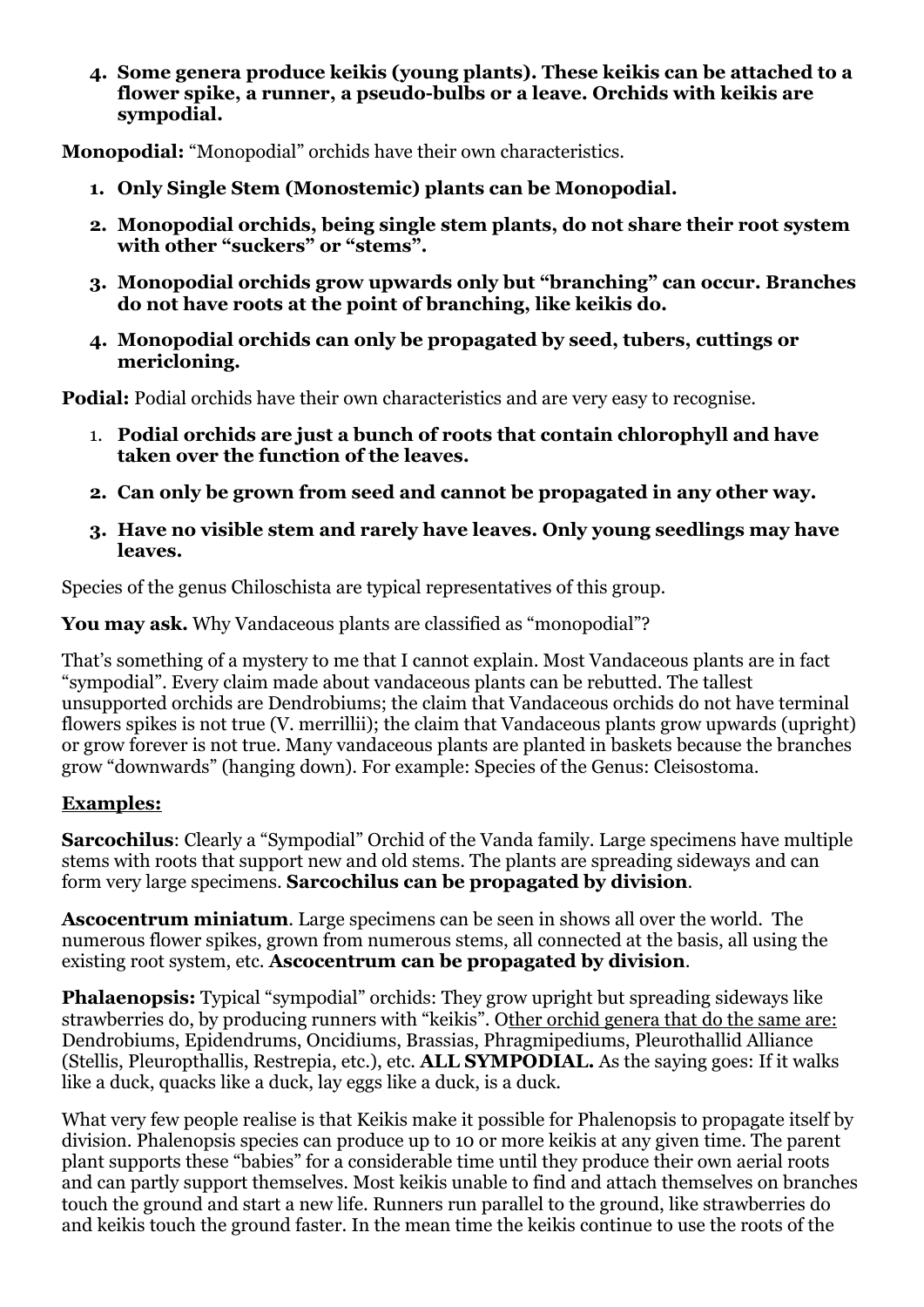**4. Some genera produce keikis (young plants). These keikis can be attached to a flower spike, a runner, a pseudo-bulbs or a leave. Orchids with keikis are sympodial.** 

**Monopodial:** "Monopodial" orchids have their own characteristics.

- **1. Only Single Stem (Monostemic) plants can be Monopodial.**
- **2. Monopodial orchids, being single stem plants, do not share their root system with other "suckers" or "stems".**
- **3. Monopodial orchids grow upwards only but "branching" can occur. Branches do not have roots at the point of branching, like keikis do.**
- **4. Monopodial orchids can only be propagated by seed, tubers, cuttings or mericloning.**

**Podial:** Podial orchids have their own characteristics and are very easy to recognise.

- 1. **Podial orchids are just a bunch of roots that contain chlorophyll and have taken over the function of the leaves.**
- **2. Can only be grown from seed and cannot be propagated in any other way.**
- **3. Have no visible stem and rarely have leaves. Only young seedlings may have leaves.**

Species of the genus Chiloschista are typical representatives of this group.

**You may ask.** Why Vandaceous plants are classified as "monopodial"?

That's something of a mystery to me that I cannot explain. Most Vandaceous plants are in fact "sympodial". Every claim made about vandaceous plants can be rebutted. The tallest unsupported orchids are Dendrobiums; the claim that Vandaceous orchids do not have terminal flowers spikes is not true (V. merrillii); the claim that Vandaceous plants grow upwards (upright) or grow forever is not true. Many vandaceous plants are planted in baskets because the branches grow "downwards" (hanging down). For example: Species of the Genus: Cleisostoma.

# **Examples:**

**Sarcochilus**: Clearly a "Sympodial" Orchid of the Vanda family. Large specimens have multiple stems with roots that support new and old stems. The plants are spreading sideways and can form very large specimens. **Sarcochilus can be propagated by division**.

**Ascocentrum miniatum**. Large specimens can be seen in shows all over the world. The numerous flower spikes, grown from numerous stems, all connected at the basis, all using the existing root system, etc. **Ascocentrum can be propagated by division**.

**Phalaenopsis:** Typical "sympodial" orchids: They grow upright but spreading sideways like strawberries do, by producing runners with "keikis". Other orchid genera that do the same are: Dendrobiums, Epidendrums, Oncidiums, Brassias, Phragmipediums, Pleurothallid Alliance (Stellis, Pleuropthallis, Restrepia, etc.), etc. **ALL SYMPODIAL.** As the saying goes: If it walks like a duck, quacks like a duck, lay eggs like a duck, is a duck.

What very few people realise is that Keikis make it possible for Phalenopsis to propagate itself by division. Phalenopsis species can produce up to 10 or more keikis at any given time. The parent plant supports these "babies" for a considerable time until they produce their own aerial roots and can partly support themselves. Most keikis unable to find and attach themselves on branches touch the ground and start a new life. Runners run parallel to the ground, like strawberries do and keikis touch the ground faster. In the mean time the keikis continue to use the roots of the